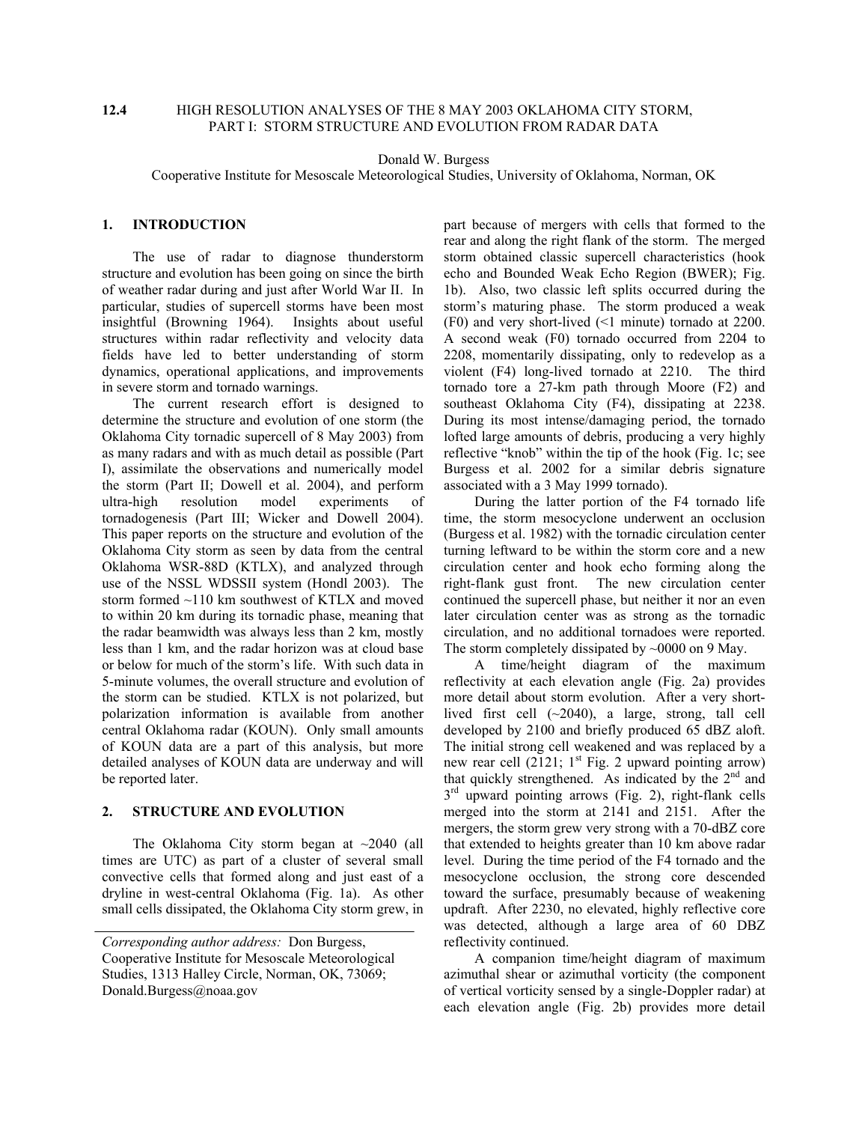# **12.4** HIGH RESOLUTION ANALYSES OF THE 8 MAY 2003 OKLAHOMA CITY STORM, PART I: STORM STRUCTURE AND EVOLUTION FROM RADAR DATA

Donald W. Burgess

Cooperative Institute for Mesoscale Meteorological Studies, University of Oklahoma, Norman, OK

# **1. INTRODUCTION**

 The use of radar to diagnose thunderstorm structure and evolution has been going on since the birth of weather radar during and just after World War II. In particular, studies of supercell storms have been most insightful (Browning 1964). Insights about useful structures within radar reflectivity and velocity data fields have led to better understanding of storm dynamics, operational applications, and improvements in severe storm and tornado warnings.

 The current research effort is designed to determine the structure and evolution of one storm (the Oklahoma City tornadic supercell of 8 May 2003) from as many radars and with as much detail as possible (Part I), assimilate the observations and numerically model the storm (Part II; Dowell et al. 2004), and perform ultra-high resolution model experiments of tornadogenesis (Part III; Wicker and Dowell 2004). This paper reports on the structure and evolution of the Oklahoma City storm as seen by data from the central Oklahoma WSR-88D (KTLX), and analyzed through use of the NSSL WDSSII system (Hondl 2003). The storm formed ~110 km southwest of KTLX and moved to within 20 km during its tornadic phase, meaning that the radar beamwidth was always less than 2 km, mostly less than 1 km, and the radar horizon was at cloud base or below for much of the storm's life. With such data in 5-minute volumes, the overall structure and evolution of the storm can be studied. KTLX is not polarized, but polarization information is available from another central Oklahoma radar (KOUN). Only small amounts of KOUN data are a part of this analysis, but more detailed analyses of KOUN data are underway and will be reported later.

### **2. STRUCTURE AND EVOLUTION**

The Oklahoma City storm began at  $\sim$ 2040 (all times are UTC) as part of a cluster of several small convective cells that formed along and just east of a dryline in west-central Oklahoma (Fig. 1a). As other small cells dissipated, the Oklahoma City storm grew, in

part because of mergers with cells that formed to the rear and along the right flank of the storm. The merged storm obtained classic supercell characteristics (hook echo and Bounded Weak Echo Region (BWER); Fig. 1b). Also, two classic left splits occurred during the storm's maturing phase. The storm produced a weak (F0) and very short-lived (<1 minute) tornado at 2200. A second weak (F0) tornado occurred from 2204 to 2208, momentarily dissipating, only to redevelop as a violent (F4) long-lived tornado at 2210. The third tornado tore a 27-km path through Moore (F2) and southeast Oklahoma City (F4), dissipating at 2238. During its most intense/damaging period, the tornado lofted large amounts of debris, producing a very highly reflective "knob" within the tip of the hook (Fig. 1c; see Burgess et al. 2002 for a similar debris signature associated with a 3 May 1999 tornado).

 During the latter portion of the F4 tornado life time, the storm mesocyclone underwent an occlusion (Burgess et al. 1982) with the tornadic circulation center turning leftward to be within the storm core and a new circulation center and hook echo forming along the right-flank gust front. The new circulation center continued the supercell phase, but neither it nor an even later circulation center was as strong as the tornadic circulation, and no additional tornadoes were reported. The storm completely dissipated by ~0000 on 9 May.

 A time/height diagram of the maximum reflectivity at each elevation angle (Fig. 2a) provides more detail about storm evolution. After a very shortlived first cell (~2040), a large, strong, tall cell developed by 2100 and briefly produced 65 dBZ aloft. The initial strong cell weakened and was replaced by a new rear cell  $(2121; 1<sup>st</sup> Fig. 2 upward pointing arrow)$ that quickly strengthened. As indicated by the  $2<sup>nd</sup>$  and  $3<sup>rd</sup>$  upward pointing arrows (Fig. 2), right-flank cells merged into the storm at 2141 and 2151. After the mergers, the storm grew very strong with a 70-dBZ core that extended to heights greater than 10 km above radar level. During the time period of the F4 tornado and the mesocyclone occlusion, the strong core descended toward the surface, presumably because of weakening updraft. After 2230, no elevated, highly reflective core was detected, although a large area of 60 DBZ reflectivity continued.

 A companion time/height diagram of maximum azimuthal shear or azimuthal vorticity (the component of vertical vorticity sensed by a single-Doppler radar) at each elevation angle (Fig. 2b) provides more detail

*Corresponding author address:* Don Burgess, Cooperative Institute for Mesoscale Meteorological Studies, 1313 Halley Circle, Norman, OK, 73069; Donald.Burgess@noaa.gov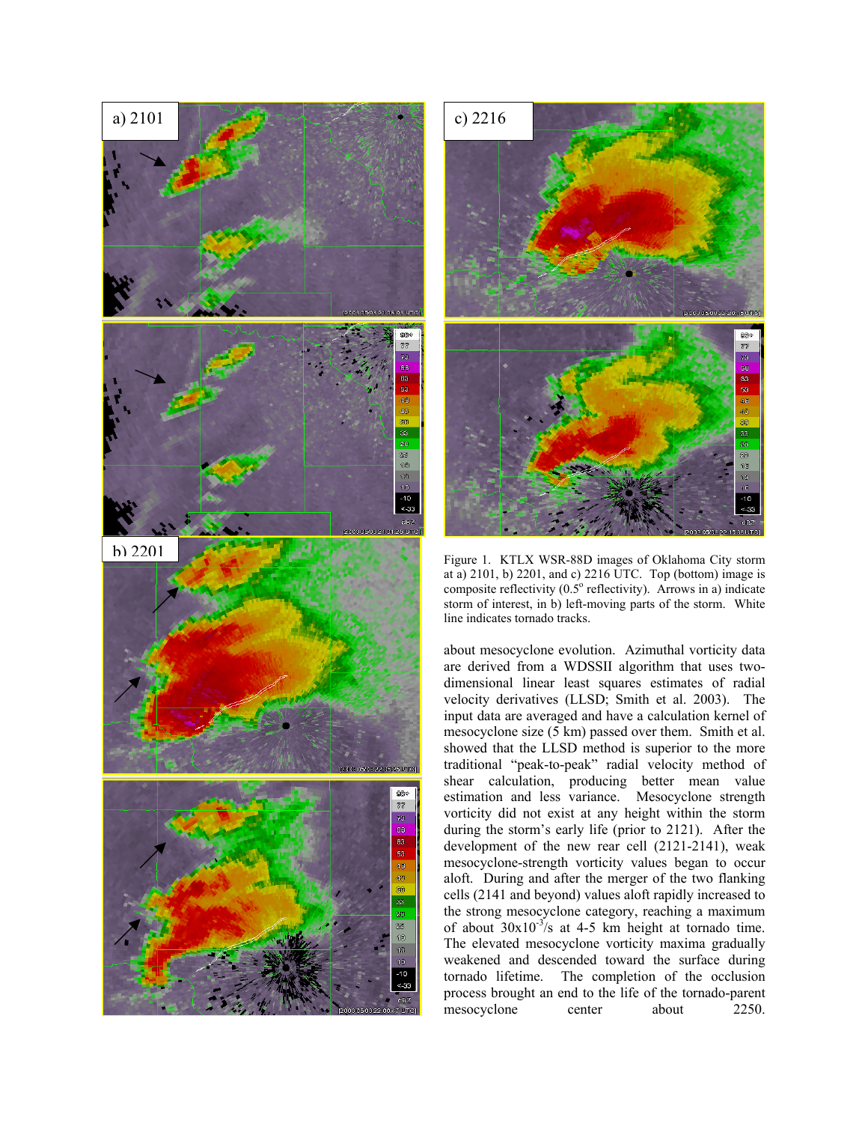



Figure 1. KTLX WSR-88D images of Oklahoma City storm at a) 2101, b) 2201, and c) 2216 UTC. Top (bottom) image is composite reflectivity  $(0.5^{\circ}$  reflectivity). Arrows in a) indicate storm of interest, in b) left-moving parts of the storm. White line indicates tornado tracks.

about mesocyclone evolution. Azimuthal vorticity data are derived from a WDSSII algorithm that uses twodimensional linear least squares estimates of radial velocity derivatives (LLSD; Smith et al. 2003). The input data are averaged and have a calculation kernel of mesocyclone size (5 km) passed over them. Smith et al. showed that the LLSD method is superior to the more traditional "peak-to-peak" radial velocity method of shear calculation, producing better mean value estimation and less variance. Mesocyclone strength vorticity did not exist at any height within the storm during the storm's early life (prior to 2121). After the development of the new rear cell (2121-2141), weak mesocyclone-strength vorticity values began to occur aloft. During and after the merger of the two flanking cells (2141 and beyond) values aloft rapidly increased to the strong mesocyclone category, reaching a maximum of about  $30x10^{-3}/s$  at 4-5 km height at tornado time. The elevated mesocyclone vorticity maxima gradually weakened and descended toward the surface during tornado lifetime. The completion of the occlusion process brought an end to the life of the tornado-parent mesocyclone center about 2250.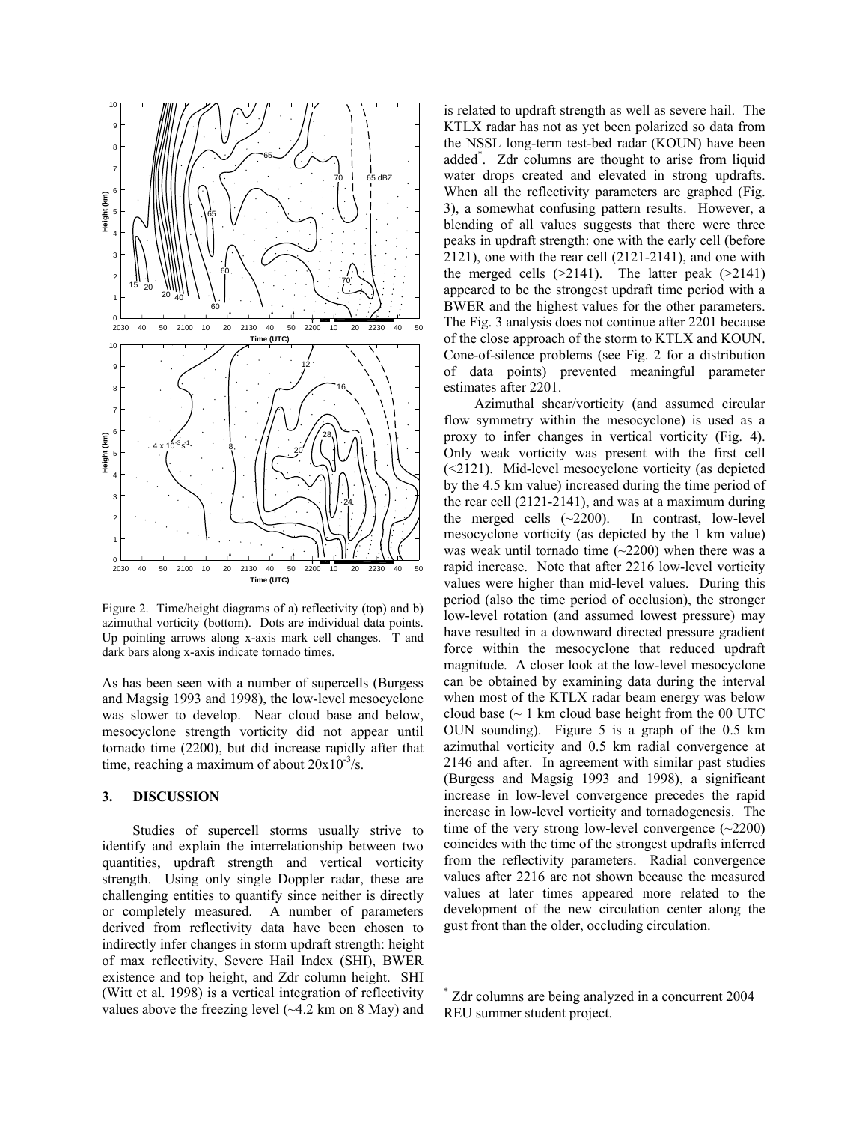

Figure 2. Time/height diagrams of a) reflectivity (top) and b) azimuthal vorticity (bottom). Dots are individual data points. Up pointing arrows along x-axis mark cell changes. T and dark bars along x-axis indicate tornado times.

As has been seen with a number of supercells (Burgess and Magsig 1993 and 1998), the low-level mesocyclone was slower to develop. Near cloud base and below, mesocyclone strength vorticity did not appear until tornado time (2200), but did increase rapidly after that time, reaching a maximum of about  $20x10^{-3}/s$ .

## **3. DISCUSSION**

Studies of supercell storms usually strive to identify and explain the interrelationship between two quantities, updraft strength and vertical vorticity strength. Using only single Doppler radar, these are challenging entities to quantify since neither is directly or completely measured. A number of parameters derived from reflectivity data have been chosen to indirectly infer changes in storm updraft strength: height of max reflectivity, Severe Hail Index (SHI), BWER existence and top height, and Zdr column height. SHI (Witt et al. 1998) is a vertical integration of reflectivity values above the freezing level  $(\sim 4.2 \text{ km on } 8 \text{ May})$  and is related to updraft strength as well as severe hail. The KTLX radar has not as yet been polarized so data from the NSSL long-term test-bed radar (KOUN) have been added\* . Zdr columns are thought to arise from liquid water drops created and elevated in strong updrafts. When all the reflectivity parameters are graphed (Fig. 3), a somewhat confusing pattern results. However, a blending of all values suggests that there were three peaks in updraft strength: one with the early cell (before 2121), one with the rear cell (2121-2141), and one with the merged cells  $(>2141)$ . The latter peak  $(>2141)$ appeared to be the strongest updraft time period with a BWER and the highest values for the other parameters. The Fig. 3 analysis does not continue after 2201 because of the close approach of the storm to KTLX and KOUN. Cone-of-silence problems (see Fig. 2 for a distribution of data points) prevented meaningful parameter estimates after 2201.

Azimuthal shear/vorticity (and assumed circular flow symmetry within the mesocyclone) is used as a proxy to infer changes in vertical vorticity (Fig. 4). Only weak vorticity was present with the first cell (<2121). Mid-level mesocyclone vorticity (as depicted by the 4.5 km value) increased during the time period of the rear cell (2121-2141), and was at a maximum during the merged cells (~2200). In contrast, low-level mesocyclone vorticity (as depicted by the 1 km value) was weak until tornado time  $(-2200)$  when there was a rapid increase. Note that after 2216 low-level vorticity values were higher than mid-level values. During this period (also the time period of occlusion), the stronger low-level rotation (and assumed lowest pressure) may have resulted in a downward directed pressure gradient force within the mesocyclone that reduced updraft magnitude. A closer look at the low-level mesocyclone can be obtained by examining data during the interval when most of the KTLX radar beam energy was below cloud base  $($  - 1 km cloud base height from the 00 UTC OUN sounding). Figure 5 is a graph of the 0.5 km azimuthal vorticity and 0.5 km radial convergence at 2146 and after. In agreement with similar past studies (Burgess and Magsig 1993 and 1998), a significant increase in low-level convergence precedes the rapid increase in low-level vorticity and tornadogenesis. The time of the very strong low-level convergence  $(\sim 2200)$ coincides with the time of the strongest updrafts inferred from the reflectivity parameters. Radial convergence values after 2216 are not shown because the measured values at later times appeared more related to the development of the new circulation center along the gust front than the older, occluding circulation.

 $\overline{a}$ 

<sup>\*</sup> Zdr columns are being analyzed in a concurrent 2004 REU summer student project.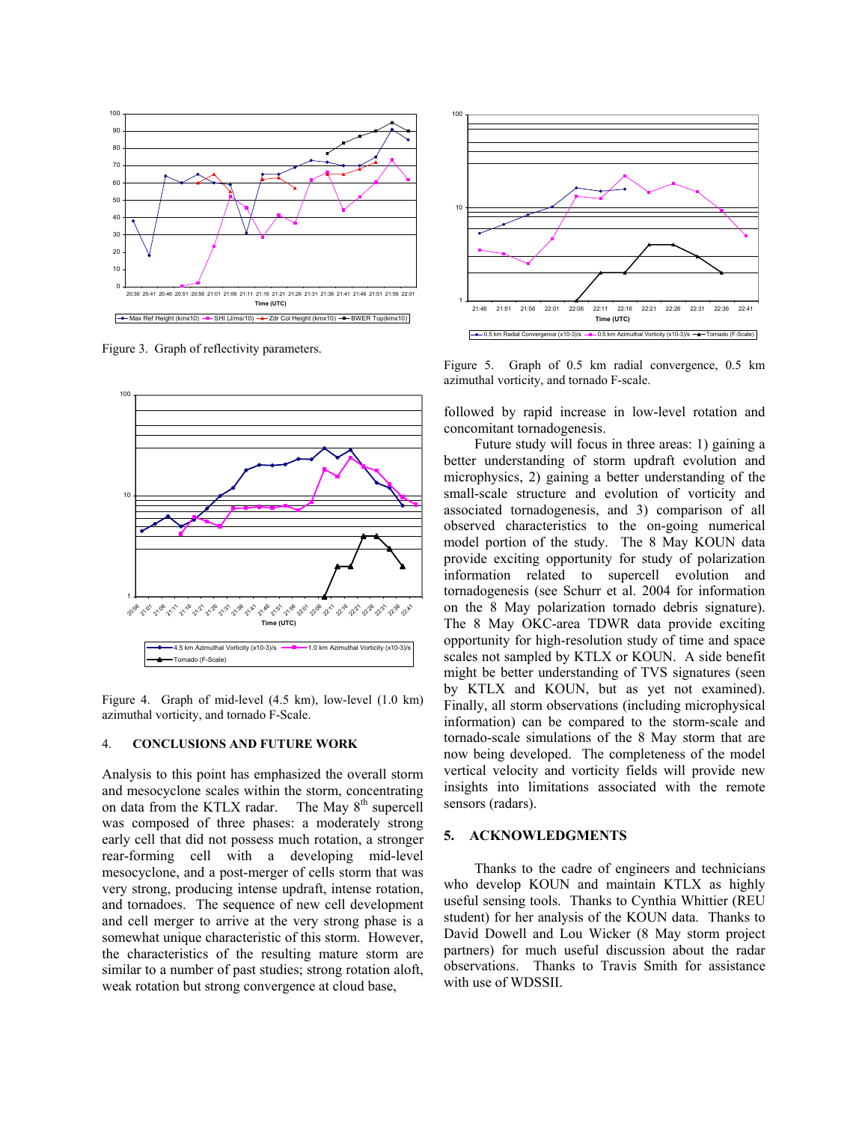

Figure 3. Graph of reflectivity parameters.



Figure 4. Graph of mid-level (4.5 km), low-level (1.0 km) azimuthal vorticity, and tornado F-Scale.

### 4. **CONCLUSIONS AND FUTURE WORK**

Analysis to this point has emphasized the overall storm and mesocyclone scales within the storm, concentrating on data from the KTLX radar. The May 8<sup>th</sup> supercell was composed of three phases: a moderately strong early cell that did not possess much rotation, a stronger rear-forming cell with a developing mid-level mesocyclone, and a post-merger of cells storm that was very strong, producing intense updraft, intense rotation, and tornadoes. The sequence of new cell development and cell merger to arrive at the very strong phase is a somewhat unique characteristic of this storm. However, the characteristics of the resulting mature storm are similar to a number of past studies; strong rotation aloft, weak rotation but strong convergence at cloud base,



Figure 5. Graph of 0.5 km radial convergence, 0.5 km azimuthal vorticity, and tornado F-scale.

followed by rapid increase in low-level rotation and concomitant tornadogenesis.

 Future study will focus in three areas: 1) gaining a better understanding of storm updraft evolution and microphysics, 2) gaining a better understanding of the small-scale structure and evolution of vorticity and associated tornadogenesis, and 3) comparison of all observed characteristics to the on-going numerical model portion of the study. The 8 May KOUN data provide exciting opportunity for study of polarization information related to supercell evolution and tornadogenesis (see Schurr et al. 2004 for information on the 8 May polarization tornado debris signature). The 8 May OKC-area TDWR data provide exciting opportunity for high-resolution study of time and space scales not sampled by KTLX or KOUN. A side benefit might be better understanding of TVS signatures (seen by KTLX and KOUN, but as yet not examined). Finally, all storm observations (including microphysical information) can be compared to the storm-scale and tornado-scale simulations of the 8 May storm that are now being developed. The completeness of the model vertical velocity and vorticity fields will provide new insights into limitations associated with the remote sensors (radars).

## **5. ACKNOWLEDGMENTS**

Thanks to the cadre of engineers and technicians who develop KOUN and maintain KTLX as highly useful sensing tools. Thanks to Cynthia Whittier (REU student) for her analysis of the KOUN data. Thanks to David Dowell and Lou Wicker (8 May storm project partners) for much useful discussion about the radar observations. Thanks to Travis Smith for assistance with use of WDSSII.